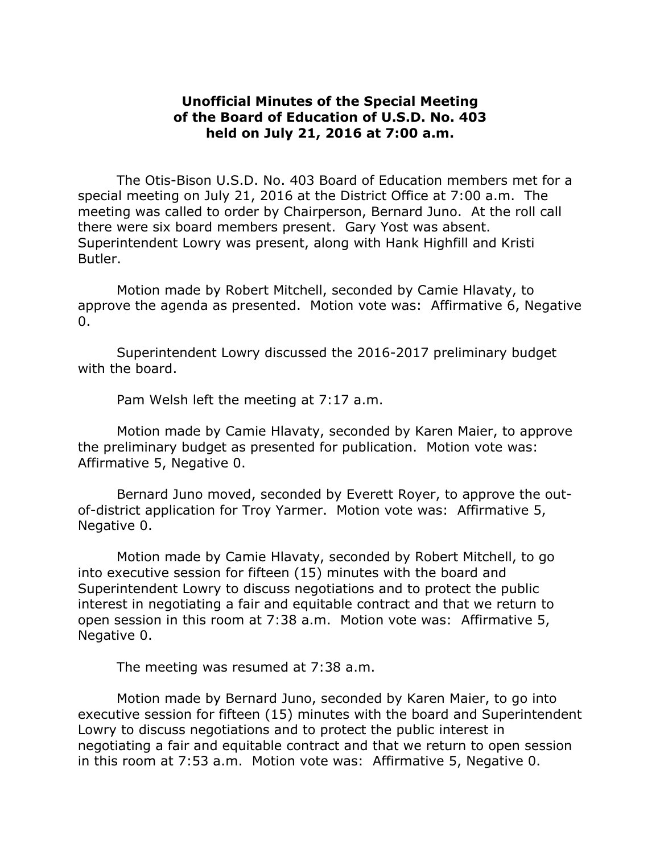## **Unofficial Minutes of the Special Meeting of the Board of Education of U.S.D. No. 403 held on July 21, 2016 at 7:00 a.m.**

The Otis-Bison U.S.D. No. 403 Board of Education members met for a special meeting on July 21, 2016 at the District Office at 7:00 a.m. The meeting was called to order by Chairperson, Bernard Juno. At the roll call there were six board members present. Gary Yost was absent. Superintendent Lowry was present, along with Hank Highfill and Kristi Butler.

Motion made by Robert Mitchell, seconded by Camie Hlavaty, to approve the agenda as presented. Motion vote was: Affirmative 6, Negative  $\Omega$ .

Superintendent Lowry discussed the 2016-2017 preliminary budget with the board.

Pam Welsh left the meeting at 7:17 a.m.

Motion made by Camie Hlavaty, seconded by Karen Maier, to approve the preliminary budget as presented for publication. Motion vote was: Affirmative 5, Negative 0.

Bernard Juno moved, seconded by Everett Royer, to approve the outof-district application for Troy Yarmer. Motion vote was: Affirmative 5, Negative 0.

Motion made by Camie Hlavaty, seconded by Robert Mitchell, to go into executive session for fifteen (15) minutes with the board and Superintendent Lowry to discuss negotiations and to protect the public interest in negotiating a fair and equitable contract and that we return to open session in this room at 7:38 a.m. Motion vote was: Affirmative 5, Negative 0.

The meeting was resumed at 7:38 a.m.

Motion made by Bernard Juno, seconded by Karen Maier, to go into executive session for fifteen (15) minutes with the board and Superintendent Lowry to discuss negotiations and to protect the public interest in negotiating a fair and equitable contract and that we return to open session in this room at 7:53 a.m. Motion vote was: Affirmative 5, Negative 0.